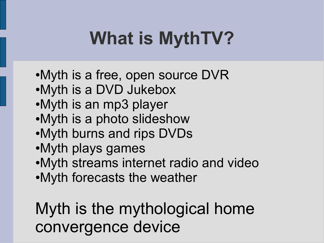# **What is MythTV?**

- •Myth is a free, open source DVR
- ●Myth is a DVD Jukebox
- ●Myth is an mp3 player
- •Myth is a photo slideshow
- •Myth burns and rips DVDs
- ●Myth plays games
- ●Myth streams internet radio and video
- ●Myth forecasts the weather

#### Myth is the mythological home convergence device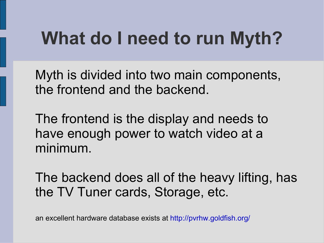#### **What do I need to run Myth?**

Myth is divided into two main components, the frontend and the backend.

The frontend is the display and needs to have enough power to watch video at a minimum.

The backend does all of the heavy lifting, has the TV Tuner cards, Storage, etc.

an excellent hardware database exists at<http://pvrhw.goldfish.org/>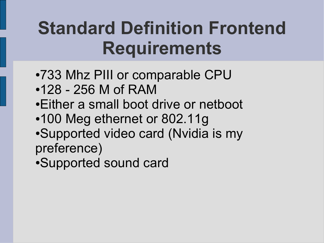#### **Standard Definition Frontend Requirements**

- ●733 Mhz PIII or comparable CPU
- $•128 256$  M of RAM
- •Either a small boot drive or netboot
- •100 Meg ethernet or 802.11g
- ●Supported video card (Nvidia is my preference)

●Supported sound card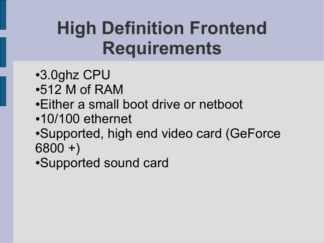#### **High Definition Frontend Requirements**

- ●3.0ghz CPU
- $\cdot$ 512 M of RAM
- Either a small boot drive or netboot
- •10/100 ethernet
- •Supported, high end video card (GeForce 6800 +)

●Supported sound card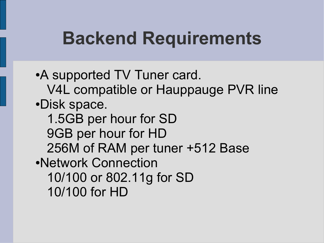#### **Backend Requirements**

• A supported TV Tuner card. V4L compatible or Hauppauge PVR line ●Disk space. 1.5GB per hour for SD 9GB per hour for HD 256M of RAM per tuner +512 Base ●Network Connection 10/100 or 802.11g for SD 10/100 for HD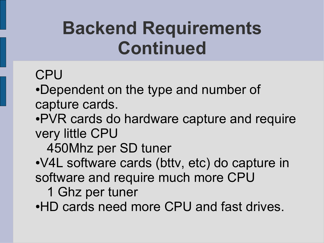#### **Backend Requirements Continued**

#### **CPU**

•Dependent on the type and number of capture cards.

•PVR cards do hardware capture and require very little CPU

450Mhz per SD tuner

●V4L software cards (bttv, etc) do capture in software and require much more CPU

1 Ghz per tuner

•HD cards need more CPU and fast drives.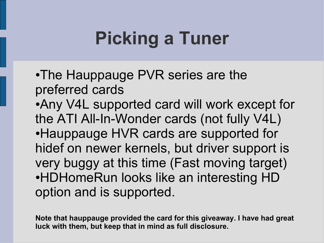#### **Picking a Tuner**

- •The Hauppauge PVR series are the preferred cards ●Any V4L supported card will work except for the ATI All-In-Wonder cards (not fully V4L)
- Hauppauge HVR cards are supported for hidef on newer kernels, but driver support is very buggy at this time (Fast moving target) •HDHomeRun looks like an interesting HD option and is supported.

**Note that hauppauge provided the card for this giveaway. I have had great luck with them, but keep that in mind as full disclosure.**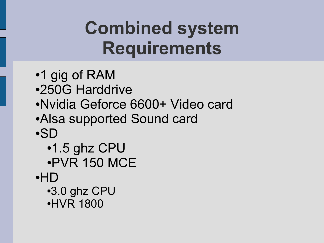#### **Combined system Requirements**

- ●1 gig of RAM
- ●250G Harddrive
- ●Nvidia Geforce 6600+ Video card
- Alsa supported Sound card
- ●SD
	- $\cdot$ 1.5 ghz CPU ●PVR 150 MCE
- ●HD
	- ●3.0 ghz CPU ●HVR 1800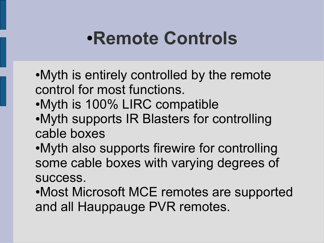#### ●**Remote Controls**

- •Myth is entirely controlled by the remote control for most functions.
- ●Myth is 100% LIRC compatible
- ●Myth supports IR Blasters for controlling cable boxes
- •Myth also supports firewire for controlling some cable boxes with varying degrees of success.
- ●Most Microsoft MCE remotes are supported and all Hauppauge PVR remotes.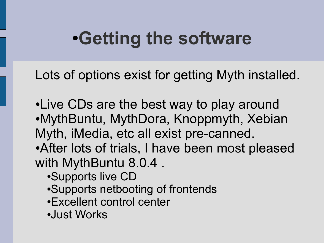#### ●**Getting the software**

Lots of options exist for getting Myth installed.

- ●Live CDs are the best way to play around ●MythBuntu, MythDora, Knoppmyth, Xebian Myth, iMedia, etc all exist pre-canned.
- After lots of trials, I have been most pleased with MythBuntu 8.0.4 .
	- ●Supports live CD
	- •Supports netbooting of frontends
	- •Excellent control center
	- ●Just Works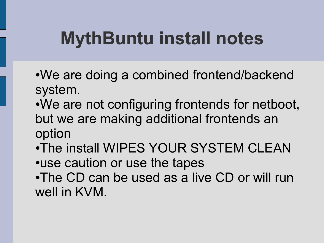#### **MythBuntu install notes**

- We are doing a combined frontend/backend system.
- We are not configuring frontends for netboot, but we are making additional frontends an option
- •The install WIPES YOUR SYSTEM CLEAN •use caution or use the tapes
- •The CD can be used as a live CD or will run well in KVM.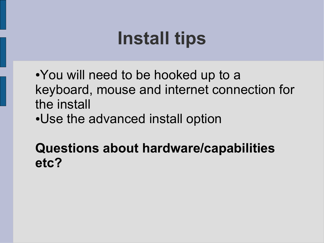#### **Install tips**

- •You will need to be hooked up to a keyboard, mouse and internet connection for the install
- •Use the advanced install option

#### **Questions about hardware/capabilities etc?**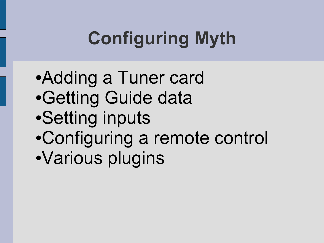# **Configuring Myth**

- ●Adding a Tuner card
- ●Getting Guide data
- ●Setting inputs
- ●Configuring a remote control
- ●Various plugins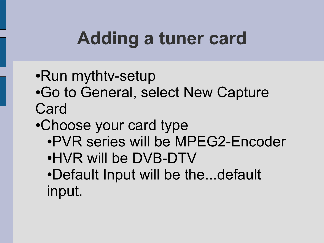#### **Adding a tuner card**

- •Run mythtv-setup
- ●Go to General, select New Capture **Card**
- •Choose your card type
	- •PVR series will be MPEG2-Encoder
	- ●HVR will be DVB-DTV
	- •Default Input will be the...default input.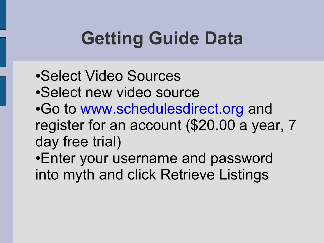# **Getting Guide Data**

- •Select Video Sources
- •Select new video source
- •Go to [www.schedulesdirect.org](http://www.schedulesdirect.org/) and register for an account (\$20.00 a year, 7 day free trial)

•Enter your username and password into myth and click Retrieve Listings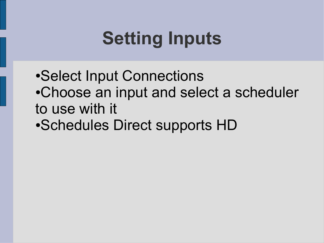# **Setting Inputs**

- Select Input Connections •Choose an input and select a scheduler to use with it
- •Schedules Direct supports HD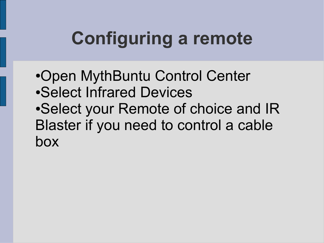# **Configuring a remote**

•Open MythBuntu Control Center ●Select Infrared Devices • Select your Remote of choice and IR Blaster if you need to control a cable box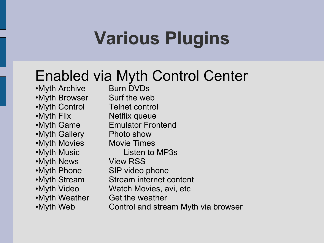## **Various Plugins**

#### Enabled via Myth Control Center

•Myth Archive Burn DVDs •Myth Browser Surf the web •Myth Control Telnet control •Myth Flix Netflix queue •Myth Gallery Photo show •Myth Movies Movie Times •Myth News View RSS •Myth Phone SIP video phone •Myth Weather Get the weather

●Myth Game Emulator Frontend •Myth Music Listen to MP3s •Myth Stream Stream internet content •Myth Video Watch Movies, avi, etc •Myth Web **Control and stream Myth via browser**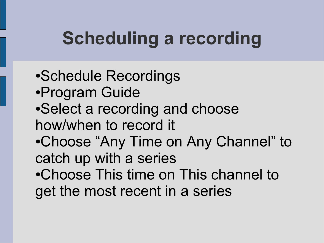# **Scheduling a recording**

- •Schedule Recordings
- ●Program Guide
- Select a recording and choose how/when to record it
- •Choose "Any Time on Any Channel" to catch up with a series
- •Choose This time on This channel to get the most recent in a series